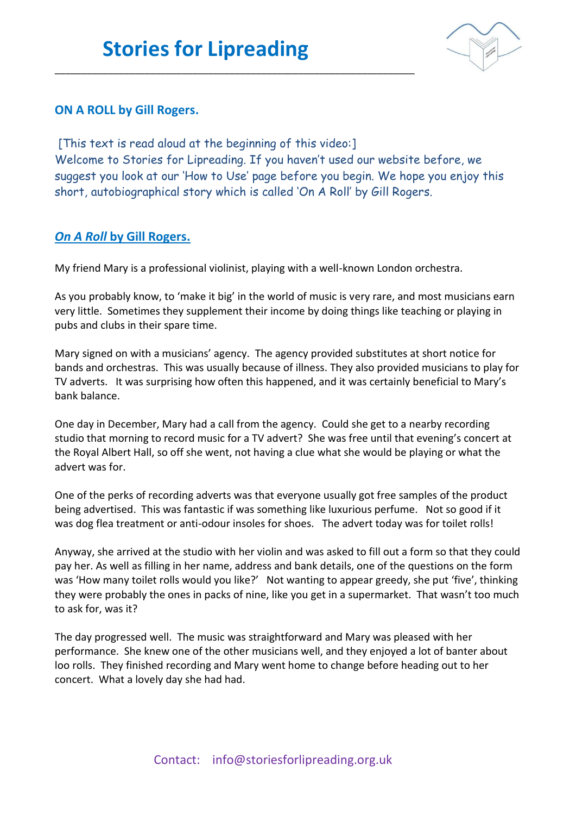\_\_\_\_\_\_\_\_\_\_\_\_\_\_\_\_\_\_\_\_\_\_\_\_\_\_\_\_\_\_\_\_\_\_\_\_\_\_\_\_\_\_\_\_\_\_\_\_\_\_\_\_\_\_\_\_\_\_\_\_\_\_\_\_\_\_\_\_



## **ON A ROLL by Gill Rogers.**

[This text is read aloud at the beginning of this video:] Welcome to Stories for Lipreading. If you haven't used our website before, we suggest you look at our 'How to Use' page before you begin. We hope you enjoy this short, autobiographical story which is called 'On A Roll' by Gill Rogers.

## *On A Roll* **by Gill Rogers.**

My friend Mary is a professional violinist, playing with a well-known London orchestra.

As you probably know, to 'make it big' in the world of music is very rare, and most musicians earn very little. Sometimes they supplement their income by doing things like teaching or playing in pubs and clubs in their spare time.

Mary signed on with a musicians' agency. The agency provided substitutes at short notice for bands and orchestras. This was usually because of illness. They also provided musicians to play for TV adverts. It was surprising how often this happened, and it was certainly beneficial to Mary's bank balance.

One day in December, Mary had a call from the agency. Could she get to a nearby recording studio that morning to record music for a TV advert? She was free until that evening's concert at the Royal Albert Hall, so off she went, not having a clue what she would be playing or what the advert was for.

One of the perks of recording adverts was that everyone usually got free samples of the product being advertised. This was fantastic if was something like luxurious perfume. Not so good if it was dog flea treatment or anti-odour insoles for shoes. The advert today was for toilet rolls!

Anyway, she arrived at the studio with her violin and was asked to fill out a form so that they could pay her. As well as filling in her name, address and bank details, one of the questions on the form was 'How many toilet rolls would you like?' Not wanting to appear greedy, she put 'five', thinking they were probably the ones in packs of nine, like you get in a supermarket. That wasn't too much to ask for, was it?

The day progressed well. The music was straightforward and Mary was pleased with her performance. She knew one of the other musicians well, and they enjoyed a lot of banter about loo rolls. They finished recording and Mary went home to change before heading out to her concert. What a lovely day she had had.